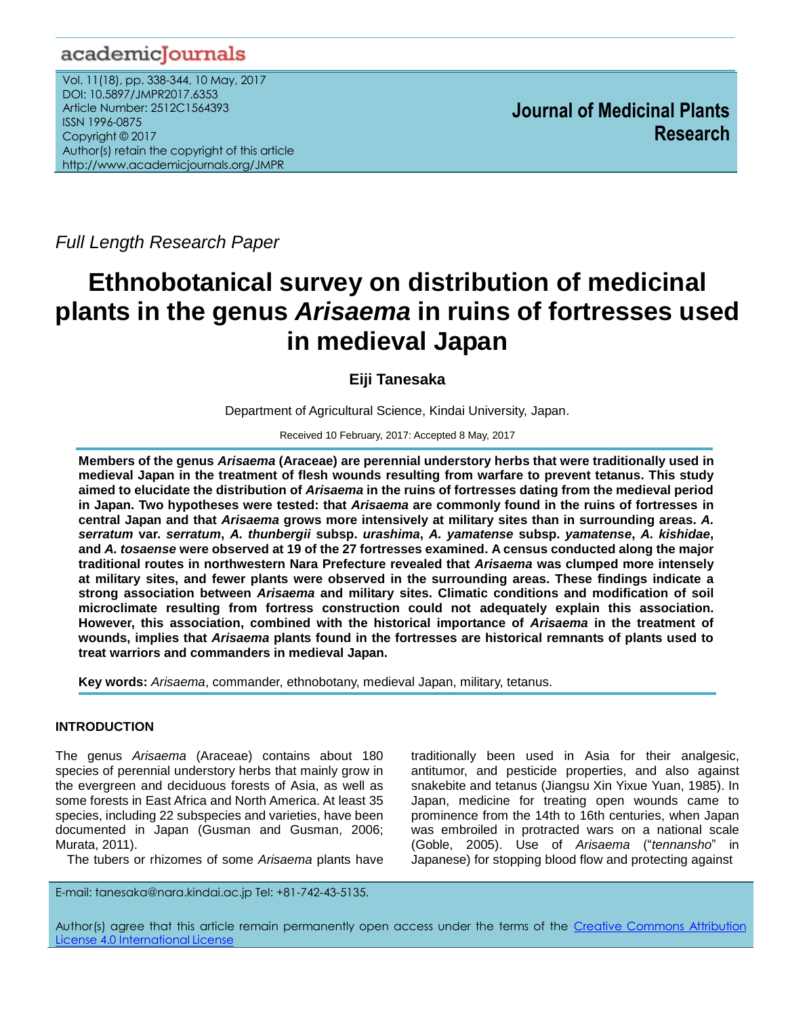# academicJournals

Vol. 11(18), pp. 338-344, 10 May, 2017 DOI: 10.5897/JMPR2017.6353 Article Number: 2512C1564393 ISSN 1996-0875 Copyright © 2017 Author(s) retain the copyright of this article http://www.academicjournals.org/JMPR

 **Journal of Medicinal Plants Research**

*Full Length Research Paper*

# **Ethnobotanical survey on distribution of medicinal plants in the genus** *Arisaema* **in ruins of fortresses used in medieval Japan**

**Eiji Tanesaka**

Department of Agricultural Science, Kindai University, Japan.

Received 10 February, 2017: Accepted 8 May, 2017

**Members of the genus** *Arisaema* **(Araceae) are perennial understory herbs that were traditionally used in medieval Japan in the treatment of flesh wounds resulting from warfare to prevent tetanus. This study aimed to elucidate the distribution of** *Arisaema* **in the ruins of fortresses dating from the medieval period in Japan. Two hypotheses were tested: that** *Arisaema* **are commonly found in the ruins of fortresses in central Japan and that** *Arisaema* **grows more intensively at military sites than in surrounding areas.** *A. serratum* **var.** *serratum***,** *A. thunbergii* **subsp.** *urashima***,** *A. yamatense* **subsp.** *yamatense***,** *A. kishidae***, and** *A. tosaense* **were observed at 19 of the 27 fortresses examined. A census conducted along the major traditional routes in northwestern Nara Prefecture revealed that** *Arisaema* **was clumped more intensely at military sites, and fewer plants were observed in the surrounding areas. These findings indicate a strong association between** *Arisaema* **and military sites. Climatic conditions and modification of soil microclimate resulting from fortress construction could not adequately explain this association. However, this association, combined with the historical importance of** *Arisaema* **in the treatment of wounds, implies that** *Arisaema* **plants found in the fortresses are historical remnants of plants used to treat warriors and commanders in medieval Japan.**

**Key words:** *Arisaema*, commander, ethnobotany, medieval Japan, military, tetanus.

# **INTRODUCTION**

The genus *Arisaema* (Araceae) contains about 180 species of perennial understory herbs that mainly grow in the evergreen and deciduous forests of Asia, as well as some forests in East Africa and North America. At least 35 species, including 22 subspecies and varieties, have been documented in Japan (Gusman and Gusman, 2006; Murata, 2011).

The tubers or rhizomes of some *Arisaema* plants have

E-mail: tanesaka@nara.kindai.ac.jp Tel: +81-742-43-5135.

traditionally been used in Asia for their analgesic, antitumor, and pesticide properties, and also against snakebite and tetanus (Jiangsu Xin Yixue Yuan, 1985). In Japan, medicine for treating open wounds came to prominence from the 14th to 16th centuries, when Japan was embroiled in protracted wars on a national scale (Goble, 2005). Use of *Arisaema* ("*tennansho*" in Japanese) for stopping blood flow and protecting against

Author(s) agree that this article remain permanently open access under the terms of the Creative Commons [Attribution](http://creativecommons.org/licenses/by/4.0/deed.en_US)  License 4.0 [International](http://creativecommons.org/licenses/by/4.0/deed.en_US) License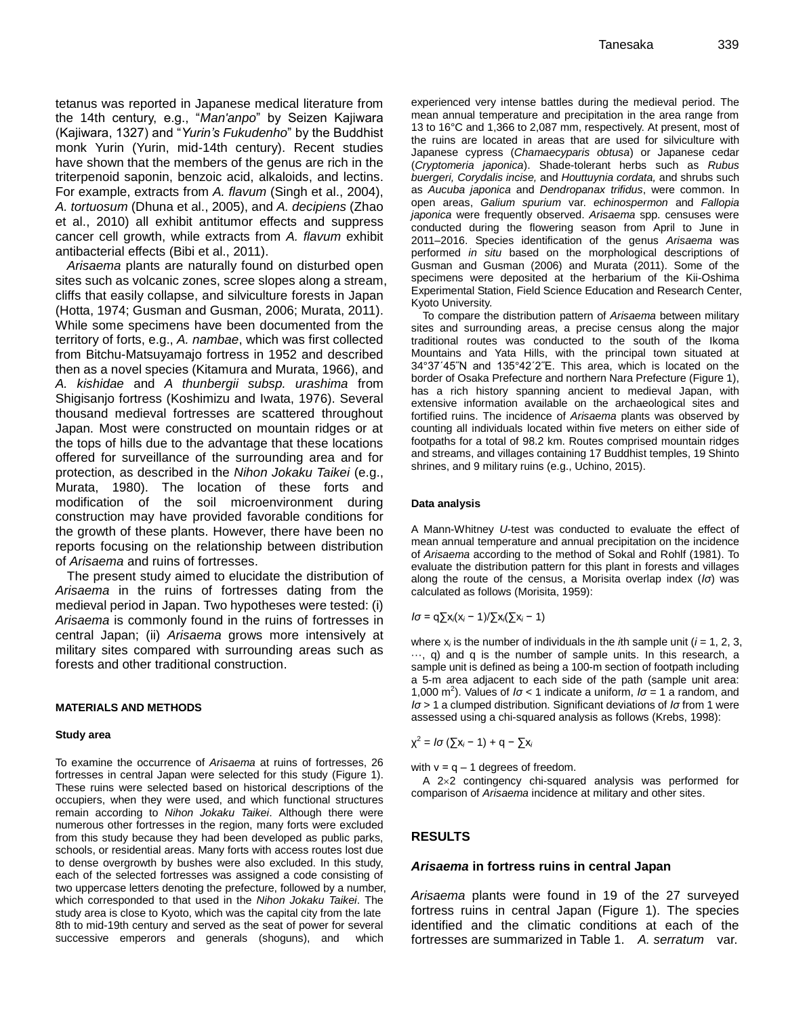tetanus was reported in Japanese medical literature from the 14th century, e.g., "*Man'anpo*" by Seizen Kajiwara (Kajiwara, 1327) and "*Yurin's Fukudenho*" by the Buddhist monk Yurin (Yurin, mid-14th century). Recent studies have shown that the members of the genus are rich in the triterpenoid saponin, benzoic acid, alkaloids, and lectins. For example, extracts from *A. flavum* (Singh et al., 2004), *A. tortuosum* (Dhuna et al., 2005), and *A. decipiens* (Zhao et al., 2010) all exhibit antitumor effects and suppress cancer cell growth, while extracts from *A. flavum* exhibit antibacterial effects (Bibi et al., 2011).

*Arisaema* plants are naturally found on disturbed open sites such as volcanic zones, scree slopes along a stream, cliffs that easily collapse, and silviculture forests in Japan (Hotta, 1974; Gusman and Gusman, 2006; Murata, 2011). While some specimens have been documented from the territory of forts, e.g., *A. nambae*, which was first collected from Bitchu-Matsuyamajo fortress in 1952 and described then as a novel species (Kitamura and Murata, 1966), and *A. kishidae* and *A thunbergii subsp. urashima* from Shigisanjo fortress (Koshimizu and Iwata, 1976). Several thousand medieval fortresses are scattered throughout Japan. Most were constructed on mountain ridges or at the tops of hills due to the advantage that these locations offered for surveillance of the surrounding area and for protection, as described in the *Nihon Jokaku Taikei* (e.g., Murata, 1980). The location of these forts and modification of the soil microenvironment during construction may have provided favorable conditions for the growth of these plants. However, there have been no reports focusing on the relationship between distribution of *Arisaema* and ruins of fortresses.

The present study aimed to elucidate the distribution of *Arisaema* in the ruins of fortresses dating from the medieval period in Japan. Two hypotheses were tested: (i) *Arisaema* is commonly found in the ruins of fortresses in central Japan; (ii) *Arisaema* grows more intensively at military sites compared with surrounding areas such as forests and other traditional construction.

#### **MATERIALS AND METHODS**

#### **Study area**

To examine the occurrence of *Arisaema* at ruins of fortresses, 26 fortresses in central Japan were selected for this study (Figure 1). These ruins were selected based on historical descriptions of the occupiers, when they were used, and which functional structures remain according to *Nihon Jokaku Taikei*. Although there were numerous other fortresses in the region, many forts were excluded from this study because they had been developed as public parks, schools, or residential areas. Many forts with access routes lost due to dense overgrowth by bushes were also excluded. In this study, each of the selected fortresses was assigned a code consisting of two uppercase letters denoting the prefecture, followed by a number, which corresponded to that used in the *Nihon Jokaku Taikei*. The study area is close to Kyoto, which was the capital city from the late 8th to mid-19th century and served as the seat of power for several successive emperors and generals (shoguns), and which

experienced very intense battles during the medieval period. The mean annual temperature and precipitation in the area range from 13 to 16°C and 1,366 to 2,087 mm, respectively. At present, most of the ruins are located in areas that are used for silviculture with Japanese cypress (*Chamaecyparis obtusa*) or Japanese cedar (*Cryptomeria japonica*). Shade-tolerant herbs such as *Rubus buergeri, Corydalis incise,* and *Houttuynia cordata,* and shrubs such as *Aucuba japonica* and *Dendropanax trifidus*, were common. In open areas, *Galium spurium* var. *echinospermon* and *Fallopia japonica* were frequently observed. *Arisaema* spp. censuses were conducted during the flowering season from April to June in 2011–2016. Species identification of the genus *Arisaema* was performed *in situ* based on the morphological descriptions of Gusman and Gusman (2006) and Murata (2011). Some of the specimens were deposited at the herbarium of the Kii-Oshima Experimental Station, Field Science Education and Research Center, Kyoto University.

To compare the distribution pattern of *Arisaema* between military sites and surrounding areas, a precise census along the major traditional routes was conducted to the south of the Ikoma Mountains and Yata Hills, with the principal town situated at 34°37ˊ45˝N and 135°42ˊ2˝E. This area, which is located on the border of Osaka Prefecture and northern Nara Prefecture (Figure 1), has a rich history spanning ancient to medieval Japan, with extensive information available on the archaeological sites and fortified ruins. The incidence of *Arisaema* plants was observed by counting all individuals located within five meters on either side of footpaths for a total of 98.2 km. Routes comprised mountain ridges and streams, and villages containing 17 Buddhist temples, 19 Shinto shrines, and 9 military ruins (e.g., Uchino, 2015).

#### **Data analysis**

A Mann-Whitney *U*-test was conducted to evaluate the effect of mean annual temperature and annual precipitation on the incidence of *Arisaema* according to the method of Sokal and Rohlf (1981). To evaluate the distribution pattern for this plant in forests and villages along the route of the census, a Morisita overlap index (*Iσ*) was calculated as follows (Morisita, 1959):

$$
I\sigma = q \sum x_i (x_i - 1) / \sum x_i (\sum x_i - 1)
$$

where  $x_i$  is the number of individuals in the  $i$ th sample unit ( $i = 1, 2, 3$ , ···, q) and q is the number of sample units. In this research, a sample unit is defined as being a 100-m section of footpath including a 5-m area adjacent to each side of the path (sample unit area: 1,000 m<sup>2</sup>). Values of  $I\sigma$  < 1 indicate a uniform,  $I\sigma$  = 1 a random, and *Iσ* > 1 a clumped distribution. Significant deviations of *Iσ* from 1 were assessed using a chi-squared analysis as follows (Krebs, 1998):

$$
\chi^2 = I\sigma\left(\sum x_i - 1\right) + q - \sum x_i
$$

with  $v = q - 1$  degrees of freedom.

A 2x2 contingency chi-squared analysis was performed for comparison of *Arisaema* incidence at military and other sites.

#### **RESULTS**

#### *Arisaema* **in fortress ruins in central Japan**

*Arisaema* plants were found in 19 of the 27 surveyed fortress ruins in central Japan (Figure 1). The species identified and the climatic conditions at each of the fortresses are summarized in Table 1. *A. serratum* var.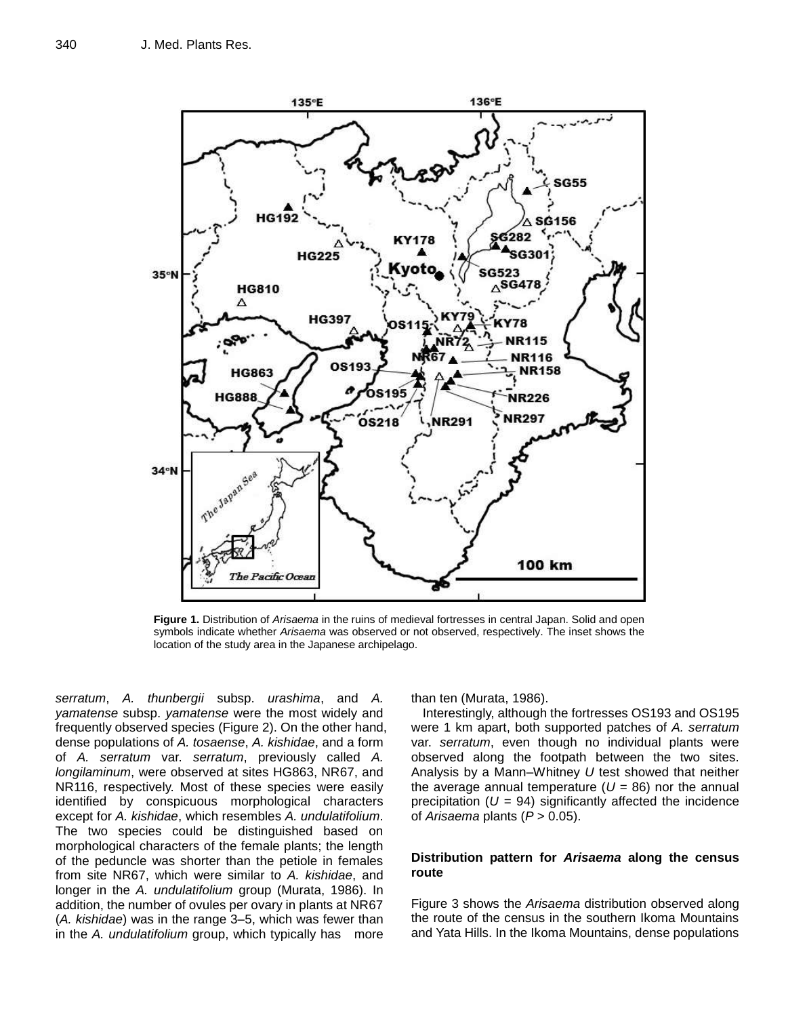

**Figure 1.** Distribution of *Arisaema* in the ruins of medieval fortresses in central Japan. Solid and open symbols indicate whether *Arisaema* was observed or not observed, respectively. The inset shows the location of the study area in the Japanese archipelago.

*serratum*, *A. thunbergii* subsp. *urashima*, and *A. yamatense* subsp. *yamatense* were the most widely and frequently observed species (Figure 2). On the other hand, dense populations of *A. tosaense*, *A. kishidae*, and a form of *A. serratum* var. *serratum*, previously called *A. longilaminum*, were observed at sites HG863, NR67, and NR116, respectively. Most of these species were easily identified by conspicuous morphological characters except for *A. kishidae*, which resembles *A. undulatifolium*. The two species could be distinguished based on morphological characters of the female plants; the length of the peduncle was shorter than the petiole in females from site NR67, which were similar to *A. kishidae*, and longer in the *A. undulatifolium* group (Murata, 1986). In addition, the number of ovules per ovary in plants at NR67 (*A. kishidae*) was in the range 3–5, which was fewer than in the *A. undulatifolium* group, which typically has more

than ten (Murata, 1986).

Interestingly, although the fortresses OS193 and OS195 were 1 km apart, both supported patches of *A. serratum* var. *serratum*, even though no individual plants were observed along the footpath between the two sites. Analysis by a Mann–Whitney *U* test showed that neither the average annual temperature  $(U = 86)$  nor the annual precipitation  $(U = 94)$  significantly affected the incidence of *Arisaema* plants (*P* > 0.05).

#### **Distribution pattern for** *Arisaema* **along the census route**

Figure 3 shows the *Arisaema* distribution observed along the route of the census in the southern Ikoma Mountains and Yata Hills. In the Ikoma Mountains, dense populations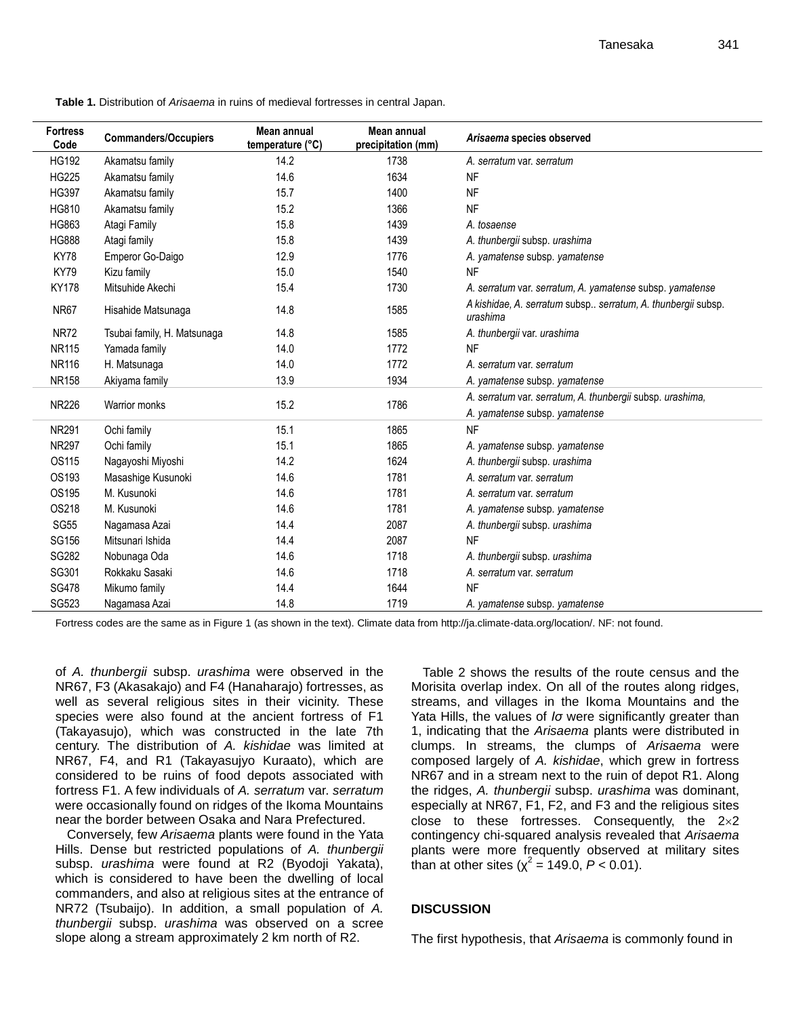**Table 1.** Distribution of *Arisaema* in ruins of medieval fortresses in central Japan.

| <b>Fortress</b><br>Code | <b>Commanders/Occupiers</b> | Mean annual<br>temperature (°C) | Mean annual<br>precipitation (mm) | Arisaema species observed                                                                  |  |
|-------------------------|-----------------------------|---------------------------------|-----------------------------------|--------------------------------------------------------------------------------------------|--|
| <b>HG192</b>            | Akamatsu family             | 14.2                            | 1738                              | A. serratum var. serratum                                                                  |  |
| <b>HG225</b>            | Akamatsu family             | 14.6                            | 1634                              | <b>NF</b>                                                                                  |  |
| <b>HG397</b>            | Akamatsu family             | 15.7                            | 1400                              | <b>NF</b>                                                                                  |  |
| HG810                   | Akamatsu family             | 15.2                            | 1366                              | <b>NF</b>                                                                                  |  |
| HG863                   | Atagi Family                | 15.8                            | 1439                              | A. tosaense                                                                                |  |
| <b>HG888</b>            | Atagi family                | 15.8                            | 1439                              | A. thunbergii subsp. urashima                                                              |  |
| KY78                    | Emperor Go-Daigo            | 12.9                            | 1776                              | A. yamatense subsp. yamatense                                                              |  |
| <b>KY79</b>             | Kizu family                 | 15.0                            | 1540                              | <b>NF</b>                                                                                  |  |
| <b>KY178</b>            | Mitsuhide Akechi            | 15.4                            | 1730                              | A. serratum var. serratum, A. yamatense subsp. yamatense                                   |  |
| <b>NR67</b>             | Hisahide Matsunaga          | 14.8                            | 1585                              | A kishidae, A. serratum subsp serratum, A. thunbergii subsp.<br>urashima                   |  |
| <b>NR72</b>             | Tsubai family, H. Matsunaga | 14.8                            | 1585                              | A. thunbergii var. urashima                                                                |  |
| <b>NR115</b>            | Yamada family               | 14.0                            | 1772                              | <b>NF</b>                                                                                  |  |
| <b>NR116</b>            | H. Matsunaga                | 14.0                            | 1772                              | A. serratum var. serratum                                                                  |  |
| <b>NR158</b>            | Akiyama family              | 13.9                            | 1934                              | A. yamatense subsp. yamatense                                                              |  |
| <b>NR226</b>            | <b>Warrior monks</b>        | 15.2                            | 1786                              | A. serratum var. serratum, A. thunbergii subsp. urashima,<br>A. yamatense subsp. yamatense |  |
| <b>NR291</b>            | Ochi family                 | 15.1                            | 1865                              | <b>NF</b>                                                                                  |  |
| <b>NR297</b>            | Ochi family                 | 15.1                            | 1865                              | A. yamatense subsp. yamatense                                                              |  |
| OS115                   | Nagayoshi Miyoshi           | 14.2                            | 1624                              | A. thunbergii subsp. urashima                                                              |  |
| OS193                   | Masashige Kusunoki          | 14.6                            | 1781                              | A. serratum var. serratum                                                                  |  |
| OS195                   | M. Kusunoki                 | 14.6                            | 1781                              | A. serratum var. serratum                                                                  |  |
| OS218                   | M. Kusunoki                 | 14.6                            | 1781                              | A. yamatense subsp. yamatense                                                              |  |
| <b>SG55</b>             | Nagamasa Azai               | 14.4                            | 2087                              | A. thunbergii subsp. urashima                                                              |  |
| SG156                   | Mitsunari Ishida            | 14.4                            | 2087                              | <b>NF</b>                                                                                  |  |
| SG282                   | Nobunaga Oda                | 14.6                            | 1718                              | A. thunbergii subsp. urashima                                                              |  |
| SG301                   | Rokkaku Sasaki              | 14.6                            | 1718                              | A. serratum var. serratum                                                                  |  |
| <b>SG478</b>            | Mikumo family               | 14.4                            | 1644                              | <b>NF</b>                                                                                  |  |
| SG523                   | Nagamasa Azai               | 14.8                            | 1719                              | A. vamatense subsp. vamatense                                                              |  |

Fortress codes are the same as in Figure 1 (as shown in the text). Climate data from http://ja.climate-data.org/location/. NF: not found.

of *A. thunbergii* subsp. *urashima* were observed in the NR67, F3 (Akasakajo) and F4 (Hanaharajo) fortresses, as well as several religious sites in their vicinity. These species were also found at the ancient fortress of F1 (Takayasujo), which was constructed in the late 7th century. The distribution of *A. kishidae* was limited at NR67, F4, and R1 (Takayasujyo Kuraato), which are considered to be ruins of food depots associated with fortress F1. A few individuals of *A. serratum* var. *serratum* were occasionally found on ridges of the Ikoma Mountains near the border between Osaka and Nara Prefectured.

Conversely, few *Arisaema* plants were found in the Yata Hills. Dense but restricted populations of *A. thunbergii* subsp. *urashima* were found at R2 (Byodoji Yakata), which is considered to have been the dwelling of local commanders, and also at religious sites at the entrance of NR72 (Tsubaijo). In addition, a small population of *A. thunbergii* subsp. *urashima* was observed on a scree slope along a stream approximately 2 km north of R2.

Table 2 shows the results of the route census and the Morisita overlap index. On all of the routes along ridges, streams, and villages in the Ikoma Mountains and the Yata Hills, the values of *Iσ* were significantly greater than 1, indicating that the *Arisaema* plants were distributed in clumps. In streams, the clumps of *Arisaema* were composed largely of *A. kishidae*, which grew in fortress NR67 and in a stream next to the ruin of depot R1. Along the ridges, *A. thunbergii* subsp. *urashima* was dominant, especially at NR67, F1, F2, and F3 and the religious sites close to these fortresses. Consequently, the  $2\times 2$ contingency chi-squared analysis revealed that *Arisaema* plants were more frequently observed at military sites than at other sites ( $\chi^2$  = 149.0,  $P$  < 0.01).

## **DISCUSSION**

The first hypothesis, that *Arisaema* is commonly found in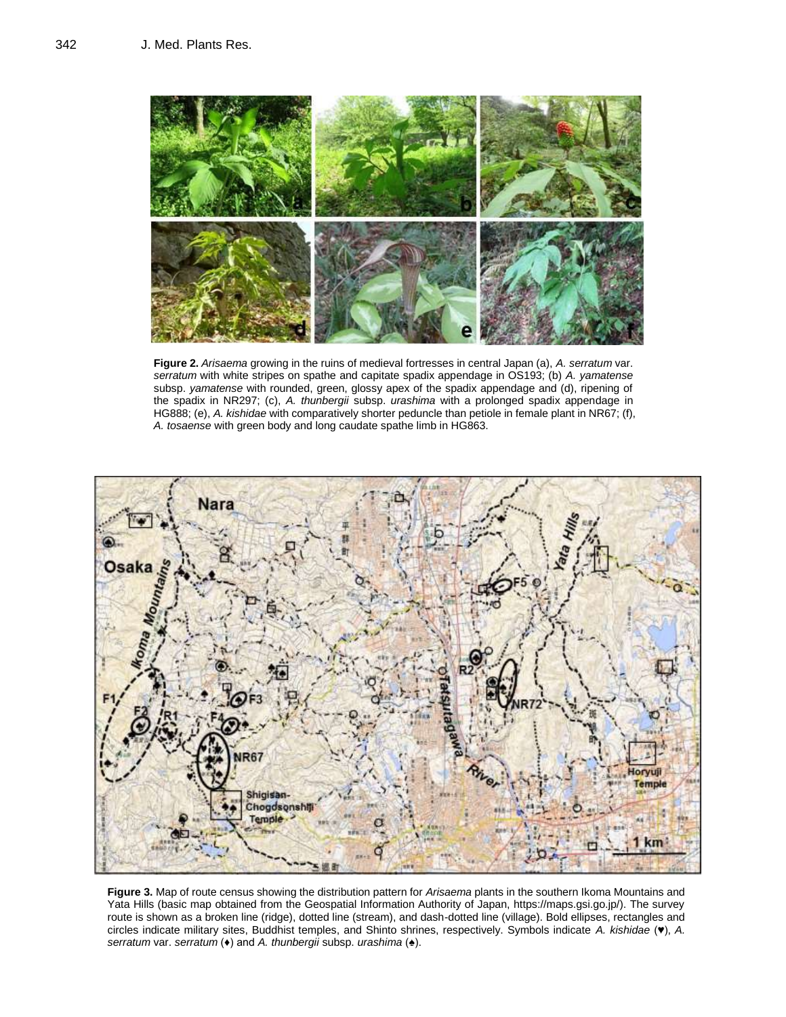

**Figure 2.** *Arisaema* growing in the ruins of medieval fortresses in central Japan (a), *A. serratum* var. *serratum* with white stripes on spathe and capitate spadix appendage in OS193; (b) *A. yamatense* subsp. *yamatense* with rounded, green, glossy apex of the spadix appendage and (d), ripening of the spadix in NR297; (c), *A. thunbergii* subsp. *urashima* with a prolonged spadix appendage in HG888; (e), *A. kishidae* with comparatively shorter peduncle than petiole in female plant in NR67; (f), *A. tosaense* with green body and long caudate spathe limb in HG863.



**Figure 3.** Map of route census showing the distribution pattern for *Arisaema* plants in the southern Ikoma Mountains and Yata Hills (basic map obtained from the Geospatial Information Authority of Japan, https://maps.gsi.go.jp/). The survey route is shown as a broken line (ridge), dotted line (stream), and dash-dotted line (village). Bold ellipses, rectangles and circles indicate military sites, Buddhist temples, and Shinto shrines, respectively. Symbols indicate *A. kishidae* (♥), *A. serratum* var. *serratum* (♦) and *A. thunbergii* subsp. *urashima* (♠).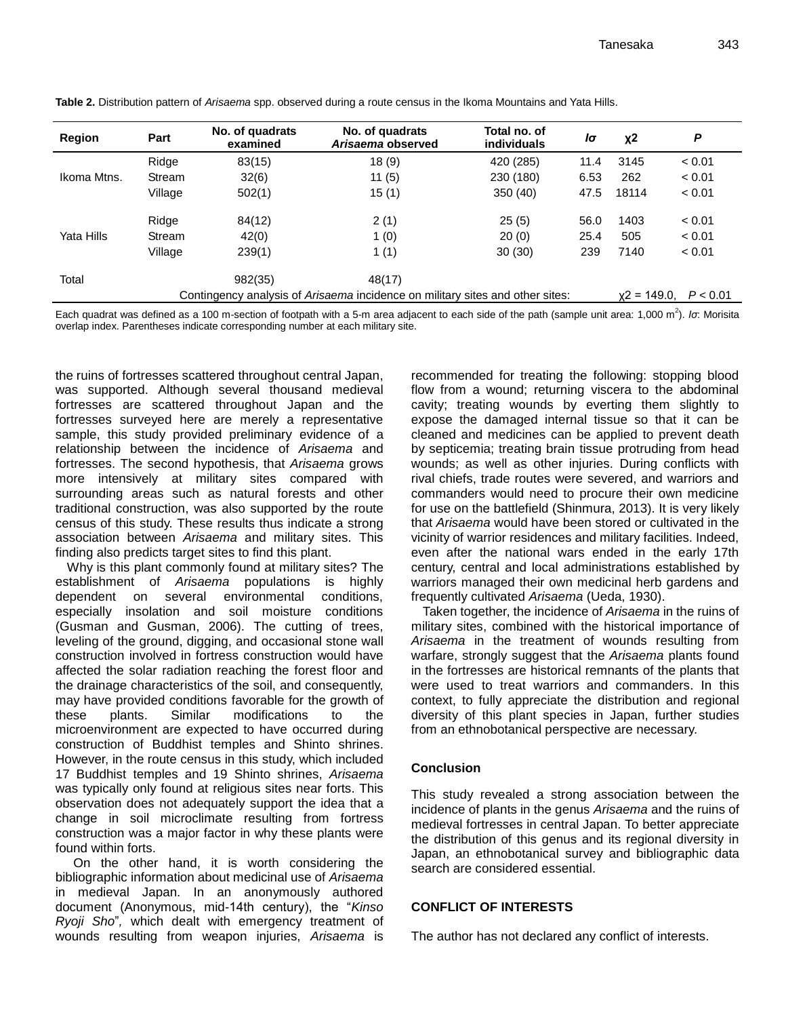| Region                                                                        | Part    | No. of quadrats<br>examined | No. of quadrats<br>Arisaema observed | Total no, of<br><b>individuals</b> | lσ   | $x^2$ | P                        |  |
|-------------------------------------------------------------------------------|---------|-----------------------------|--------------------------------------|------------------------------------|------|-------|--------------------------|--|
|                                                                               | Ridge   | 83(15)                      | 18(9)                                | 420 (285)                          | 11.4 | 3145  | < 0.01                   |  |
| Ikoma Mtns.                                                                   | Stream  | 32(6)                       | 11(5)                                | 230 (180)                          | 6.53 | 262   | < 0.01                   |  |
|                                                                               | Village | 502(1)                      | 15(1)                                | 350(40)                            | 47.5 | 18114 | < 0.01                   |  |
|                                                                               | Ridge   | 84(12)                      | 2(1)                                 | 25(5)                              | 56.0 | 1403  | < 0.01                   |  |
| Yata Hills                                                                    | Stream  | 42(0)                       | 1(0)                                 | 20(0)                              | 25.4 | 505   | < 0.01                   |  |
|                                                                               | Village | 239(1)                      | 1(1)                                 | 30(30)                             | 239  | 7140  | < 0.01                   |  |
| Total                                                                         |         | 982(35)                     | 48(17)                               |                                    |      |       |                          |  |
| Contingency analysis of Arisaema incidence on military sites and other sites: |         |                             |                                      |                                    |      |       | $x2 = 149.0$<br>P < 0.01 |  |

**Table 2.** Distribution pattern of *Arisaema* spp. observed during a route census in the Ikoma Mountains and Yata Hills.

Each quadrat was defined as a 100 m-section of footpath with a 5-m area adjacent to each side of the path (sample unit area: 1,000 m<sup>2</sup>). *Iσ*: Morisita overlap index. Parentheses indicate corresponding number at each military site.

the ruins of fortresses scattered throughout central Japan, was supported. Although several thousand medieval fortresses are scattered throughout Japan and the fortresses surveyed here are merely a representative sample, this study provided preliminary evidence of a relationship between the incidence of *Arisaema* and fortresses. The second hypothesis, that *Arisaema* grows more intensively at military sites compared with surrounding areas such as natural forests and other traditional construction, was also supported by the route census of this study. These results thus indicate a strong association between *Arisaema* and military sites. This finding also predicts target sites to find this plant.

Why is this plant commonly found at military sites? The establishment of *Arisaema* populations is highly dependent on several environmental conditions, especially insolation and soil moisture conditions (Gusman and Gusman, 2006). The cutting of trees, leveling of the ground, digging, and occasional stone wall construction involved in fortress construction would have affected the solar radiation reaching the forest floor and the drainage characteristics of the soil, and consequently, may have provided conditions favorable for the growth of these plants. Similar modifications to the microenvironment are expected to have occurred during construction of Buddhist temples and Shinto shrines. However, in the route census in this study, which included 17 Buddhist temples and 19 Shinto shrines, *Arisaema* was typically only found at religious sites near forts. This observation does not adequately support the idea that a change in soil microclimate resulting from fortress construction was a major factor in why these plants were found within forts.

On the other hand, it is worth considering the bibliographic information about medicinal use of *Arisaema* in medieval Japan. In an anonymously authored document (Anonymous, mid-14th century), the "*Kinso Ryoji Sho*"*,* which dealt with emergency treatment of wounds resulting from weapon injuries, *Arisaema* is

recommended for treating the following: stopping blood flow from a wound; returning viscera to the abdominal cavity; treating wounds by everting them slightly to expose the damaged internal tissue so that it can be cleaned and medicines can be applied to prevent death by septicemia; treating brain tissue protruding from head wounds; as well as other injuries. During conflicts with rival chiefs, trade routes were severed, and warriors and commanders would need to procure their own medicine for use on the battlefield (Shinmura, 2013). It is very likely that *Arisaema* would have been stored or cultivated in the vicinity of warrior residences and military facilities. Indeed, even after the national wars ended in the early 17th century, central and local administrations established by warriors managed their own medicinal herb gardens and frequently cultivated *Arisaema* (Ueda, 1930).

Taken together, the incidence of *Arisaema* in the ruins of military sites, combined with the historical importance of *Arisaema* in the treatment of wounds resulting from warfare, strongly suggest that the *Arisaema* plants found in the fortresses are historical remnants of the plants that were used to treat warriors and commanders. In this context, to fully appreciate the distribution and regional diversity of this plant species in Japan, further studies from an ethnobotanical perspective are necessary.

## **Conclusion**

This study revealed a strong association between the incidence of plants in the genus *Arisaema* and the ruins of medieval fortresses in central Japan. To better appreciate the distribution of this genus and its regional diversity in Japan, an ethnobotanical survey and bibliographic data search are considered essential.

# **CONFLICT OF INTERESTS**

The author has not declared any conflict of interests.